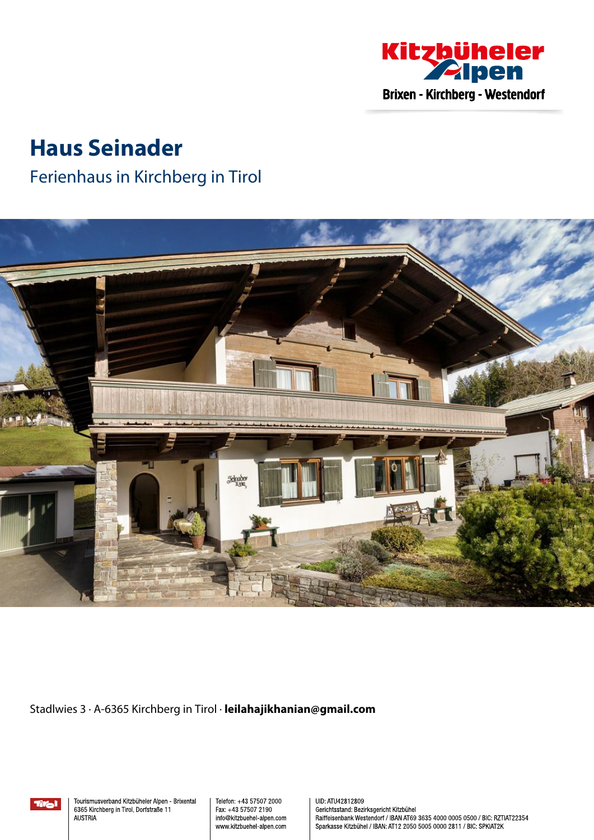

# **Haus Seinader**

## Ferienhaus in Kirchberg in Tirol



Stadlwies 3 · A-6365 Kirchberg in Tirol · **leilahajikhanian@gmail.com**

Tral

Tourismusverband Kitzbüheler Alpen - Brixental 6365 Kirchberg in Tirol, Dorfstraße 11 **AUSTRIA** 

Telefon: +43 57507 2000 Fax: +43 57507 2190 info@kitzbuehel-alpen.com www.kitzbuehel-alpen.com UID: ATU42812809 Gerichtsstand: Bezirksgericht Kitzbühel Raiffeisenbank Westendorf / IBAN AT69 3635 4000 0005 0500 / BIC: RZTIAT22354 Sparkasse Kitzbühel / IBAN: AT12 2050 5005 0000 2811 / BIC: SPKIAT2K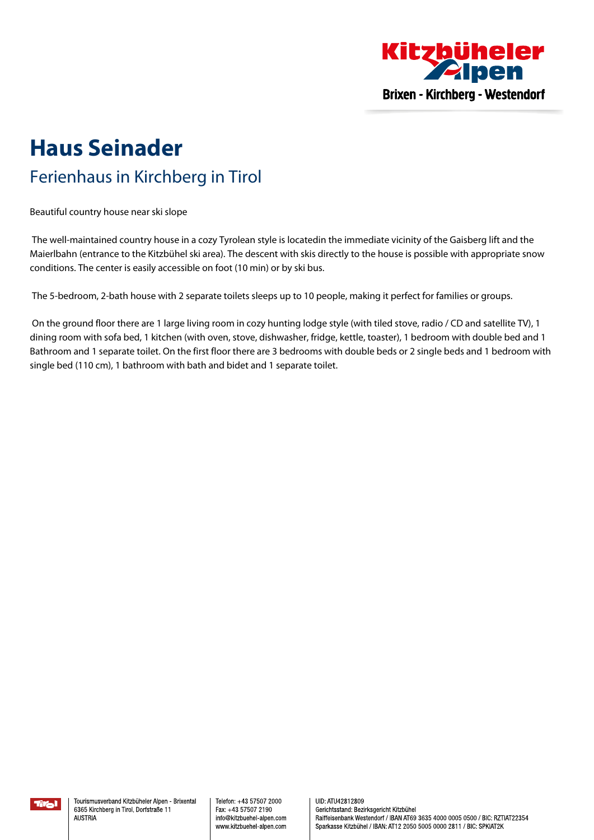

## **Haus Seinader** Ferienhaus in Kirchberg in Tirol

Beautiful country house near ski slope

The well-maintained country house in <sup>a</sup> cozy Tyrolean style is locatedin the immediate vicinity of the Gaisberg lift and the Maierlbahn (entrance to the Kitzbühel ski area). The descent with skis directly to the house is possible with appropriate snow conditions. The center is easily accessible on foot (10 min) or by ski bus.

The 5-bedroom, 2-bath house with 2 separate toilets sleeps up to 10 people, making it perfect for families or groups.

On the ground floor there are <sup>1</sup> large living room in cozy hunting lodge style (with tiled stove, radio / CD and satellite TV), <sup>1</sup> dining room with sofa bed, 1 kitchen (with oven, stove, dishwasher, fridge, kettle, toaster), 1 bedroom with double bed and 1 Bathroom and 1 separate toilet. On the first floor there are 3 bedrooms with double beds or 2 single beds and 1 bedroom with single bed (110 cm), 1 bathroom with bath and bidet and 1 separate toilet.

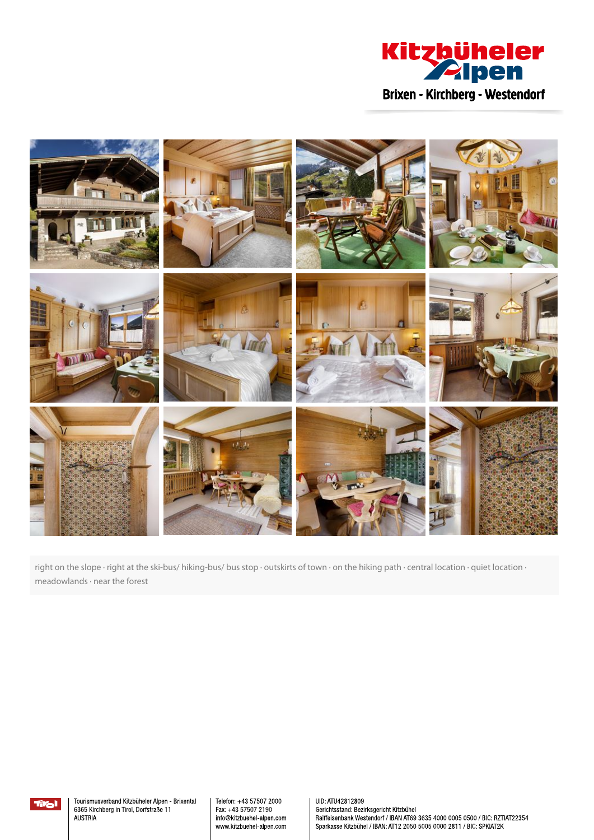



right on the slope · right at the ski-bus/ hiking-bus/ bus stop · outskirts of town · on the hiking path · central location · quiet location · meadowlands · near the forest



Tourismusverband Kitzbüheler Alpen - Brixental 6365 Kirchberg in Tirol, Dorfstraße 11 **AUSTRIA** 

Telefon: +43 57507 2000 Fax: +43 57507 2190 info@kitzbuehel-alpen.com www.kitzbuehel-alpen.com

UID: ATU42812809 Gerichtsstand: Bezirksgericht Kitzbühel Raiffeisenbank Westendorf / IBAN AT69 3635 4000 0005 0500 / BIC: RZTIAT22354 Sparkasse Kitzbühel / IBAN: AT12 2050 5005 0000 2811 / BIC: SPKIAT2K